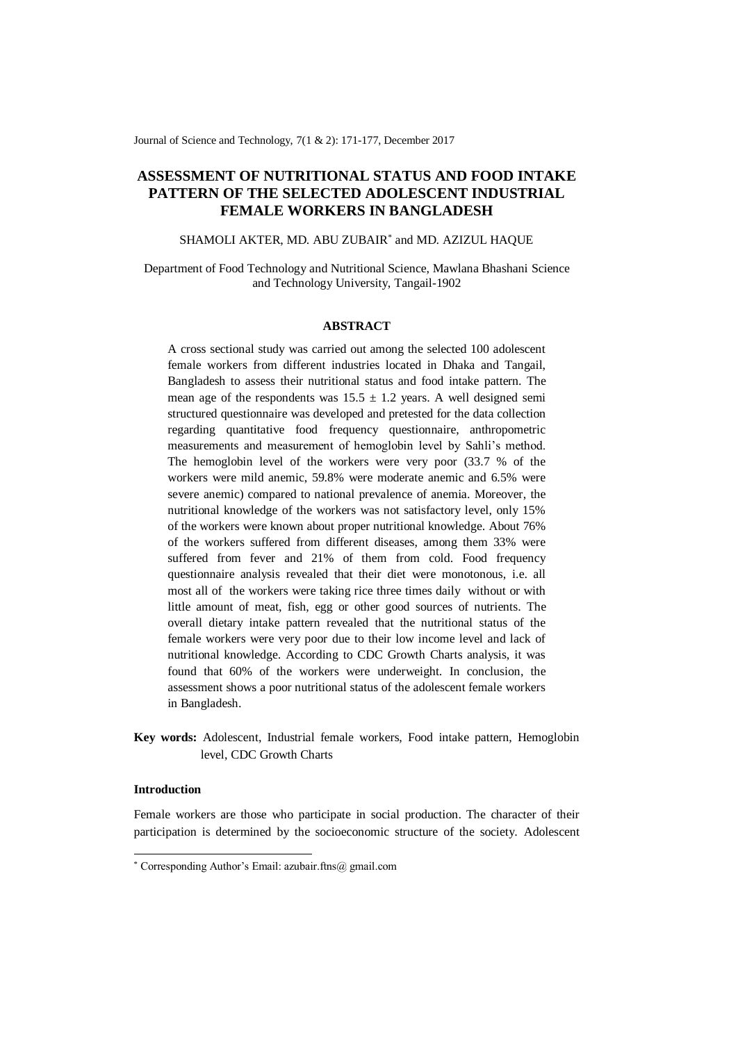Journal of Science and Technology, 7(1 & 2): 171-177, December 2017

# **ASSESSMENT OF NUTRITIONAL STATUS AND FOOD INTAKE PATTERN OF THE SELECTED ADOLESCENT INDUSTRIAL FEMALE WORKERS IN BANGLADESH**

## SHAMOLI AKTER, MD. ABU ZUBAIR\* and MD. AZIZUL HAQUE

Department of Food Technology and Nutritional Science, Mawlana Bhashani Science and Technology University, Tangail-1902

#### **ABSTRACT**

A cross sectional study was carried out among the selected 100 adolescent female workers from different industries located in Dhaka and Tangail, Bangladesh to assess their nutritional status and food intake pattern. The mean age of the respondents was  $15.5 \pm 1.2$  years. A well designed semi structured questionnaire was developed and pretested for the data collection regarding quantitative food frequency questionnaire, anthropometric measurements and measurement of hemoglobin level by Sahli's method. The hemoglobin level of the workers were very poor (33.7 % of the workers were mild anemic, 59.8% were moderate anemic and 6.5% were severe anemic) compared to national prevalence of anemia. Moreover, the nutritional knowledge of the workers was not satisfactory level, only 15% of the workers were known about proper nutritional knowledge. About 76% of the workers suffered from different diseases, among them 33% were suffered from fever and 21% of them from cold. Food frequency questionnaire analysis revealed that their diet were monotonous, i.e. all most all of the workers were taking rice three times daily without or with little amount of meat, fish, egg or other good sources of nutrients. The overall dietary intake pattern revealed that the nutritional status of the female workers were very poor due to their low income level and lack of nutritional knowledge. According to CDC Growth Charts analysis, it was found that 60% of the workers were underweight. In conclusion, the assessment shows a poor nutritional status of the adolescent female workers in Bangladesh.

**Key words:** Adolescent, Industrial female workers, Food intake pattern, Hemoglobin level, CDC Growth Charts

## **Introduction**

-

Female workers are those who participate in social production. The character of their participation is determined by the socioeconomic structure of the society. Adolescent

<sup>\*</sup> Corresponding Author's Email: azubair.ftns@ gmail.com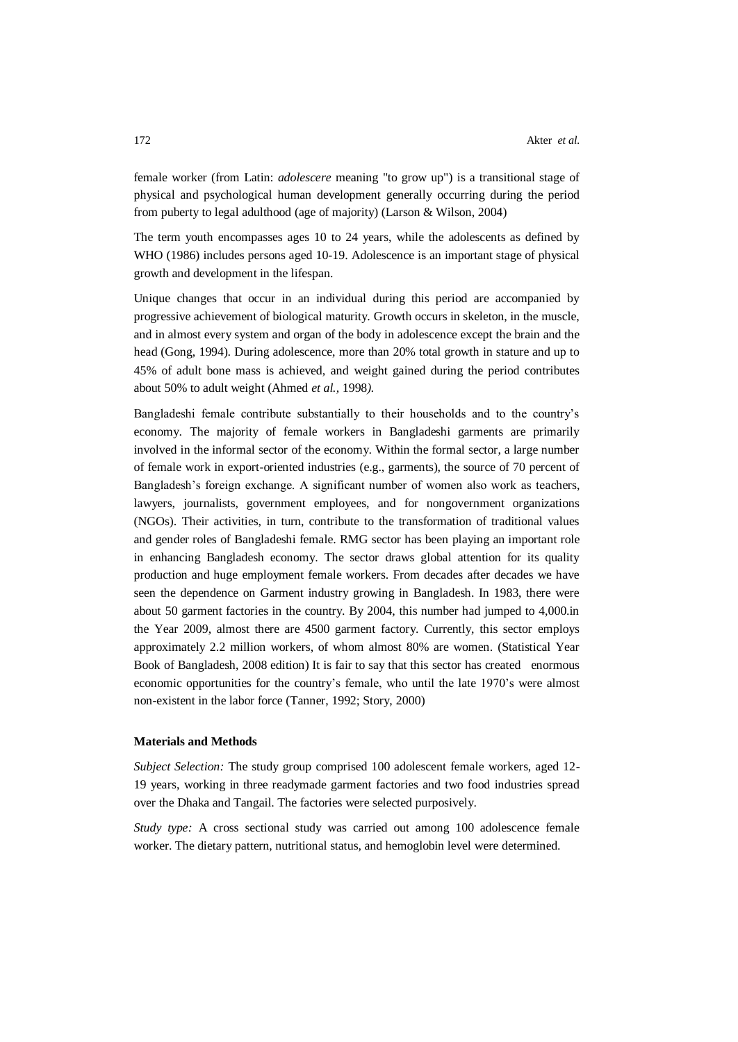female worker (from [Latin:](http://en.wikipedia.org/wiki/Latin_language) *adolescere* meaning "to grow up") is a transitional stage of [physical](http://en.wikipedia.org/wiki/Physical) and [psychological](http://en.wikipedia.org/wiki/Psychological) [human development](http://en.wikipedia.org/wiki/Human_development_%28biology%29) generally occurring during the period from [puberty](http://en.wikipedia.org/wiki/Puberty) to legal [adulthood](http://en.wikipedia.org/wiki/Adult) [\(age of majority\)](http://en.wikipedia.org/wiki/Age_of_majority) (Larson & Wilson, 2004)

The term youth encompasses ages 10 to 24 years, while the adolescents as defined by WHO (1986) includes persons aged 10-19. Adolescence is an important stage of physical growth and development in the lifespan.

Unique changes that occur in an individual during this period are accompanied by progressive achievement of biological maturity. Growth occurs in skeleton, in the muscle, and in almost every system and organ of the body in adolescence except the brain and the head (Gong, 1994). During adolescence, more than 20% total growth in stature and up to 45% of adult bone mass is achieved, and weight gained during the period contributes about 50% to adult weight (Ahmed *et al.,* 1998*).*

Bangladeshi female contribute substantially to their households and to the country's economy. The majority of female workers in Bangladeshi garments are primarily involved in the informal sector of the economy. Within the formal sector, a large number of female work in export-oriented industries (e.g., garments), the source of 70 percent of Bangladesh's foreign exchange. A significant number of women also work as teachers, lawyers, journalists, government employees, and for nongovernment organizations (NGOs). Their activities, in turn, contribute to the transformation of traditional values and gender roles of Bangladeshi female. RMG sector has been playing an important role in enhancing Bangladesh economy. The sector draws global attention for its quality production and huge employment female workers. From decades after decades we have seen the dependence on Garment industry growing in Bangladesh. In 1983, there were about 50 garment factories in the country. By 2004, this number had jumped to 4,000.in the Year 2009, almost there are 4500 garment factory. Currently, this sector employs approximately 2.2 million workers, of whom almost 80% are women. (Statistical Year Book of Bangladesh, 2008 edition) It is fair to say that this sector has created enormous economic opportunities for the country's female, who until the late 1970's were almost non-existent in the labor force (Tanner, 1992; Story, 2000)

## **Materials and Methods**

*Subject Selection:* The study group comprised 100 adolescent female workers, aged 12- 19 years, working in three readymade garment factories and two food industries spread over the Dhaka and Tangail. The factories were selected purposively.

*Study type:* A cross sectional study was carried out among 100 adolescence female worker. The dietary pattern, nutritional status, and hemoglobin level were determined.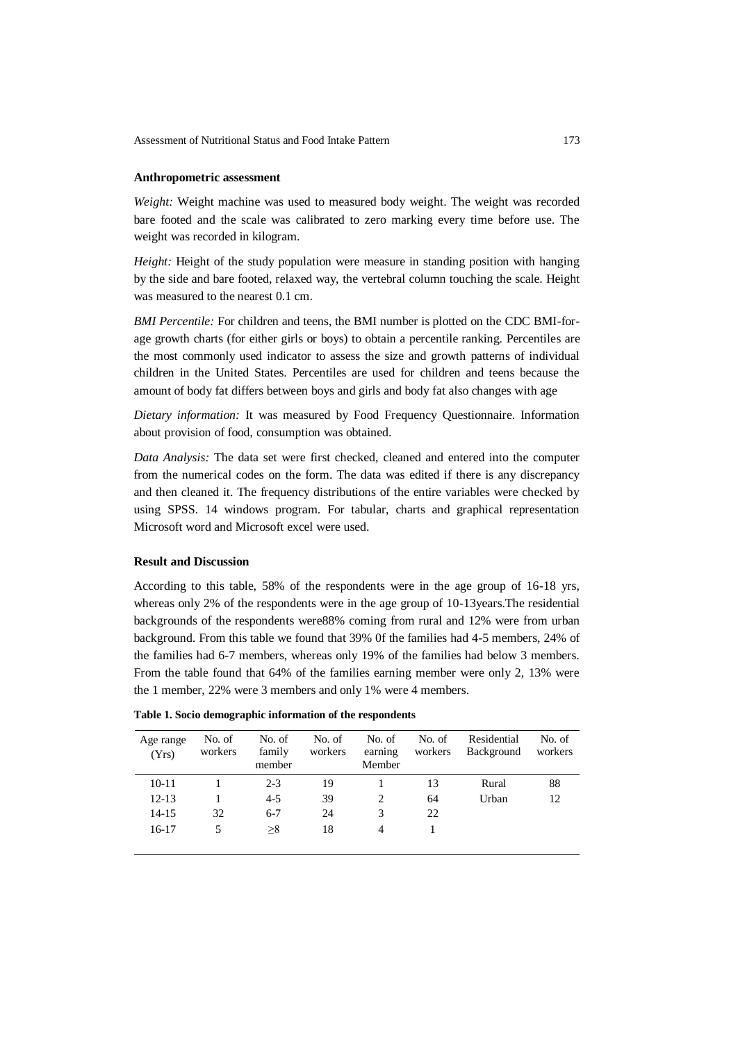#### **Anthropometric assessment**

*Weight:* Weight machine was used to measured body weight. The weight was recorded bare footed and the scale was calibrated to zero marking every time before use. The weight was recorded in kilogram.

*Height:* Height of the study population were measure in standing position with hanging by the side and bare footed, relaxed way, the vertebral column touching the scale. Height was measured to the nearest 0.1 cm.

*BMI Percentile:* For children and teens, the BMI number is plotted on the CDC BMI-forage growth charts (for either girls or boys) to obtain a percentile ranking. Percentiles are the most commonly used indicator to assess the size and growth patterns of individual children in the United States. Percentiles are used for children and teens because the amount of body fat differs between boys and girls and body fat also changes with age

*Dietary information:* It was measured by Food Frequency Questionnaire. Information about provision of food, consumption was obtained.

*Data Analysis:* The data set were first checked, cleaned and entered into the computer from the numerical codes on the form. The data was edited if there is any discrepancy and then cleaned it. The frequency distributions of the entire variables were checked by using SPSS. 14 windows program. For tabular, charts and graphical representation Microsoft word and Microsoft excel were used.

#### **Result and Discussion**

According to this table, 58% of the respondents were in the age group of 16-18 yrs, whereas only 2% of the respondents were in the age group of 10-13years.The residential backgrounds of the respondents were88% coming from rural and 12% were from urban background. From this table we found that 39% 0f the families had 4-5 members, 24% of the families had 6-7 members, whereas only 19% of the families had below 3 members. From the table found that 64% of the families earning member were only 2, 13% were the 1 member, 22% were 3 members and only 1% were 4 members.

| Age range<br>(Yrs) | No. of<br>workers | No. of<br>family<br>member | No. of<br>workers | No. of<br>earning<br>Member | No. of<br>workers | Residential<br>Background | No. of<br>workers |
|--------------------|-------------------|----------------------------|-------------------|-----------------------------|-------------------|---------------------------|-------------------|
| $10 - 11$          |                   | $2 - 3$                    | 19                |                             | 13                | Rural                     | 88                |
| $12 - 13$          |                   | $4 - 5$                    | 39                | 2                           | 64                | Urban                     | 12                |
| 14-15              | 32                | $6 - 7$                    | 24                | 3                           | 22                |                           |                   |
| $16-17$            |                   | >8                         | 18                | 4                           |                   |                           |                   |
|                    |                   |                            |                   |                             |                   |                           |                   |

|  |  |  |  |  | Table 1. Socio demographic information of the respondents |  |  |  |
|--|--|--|--|--|-----------------------------------------------------------|--|--|--|
|--|--|--|--|--|-----------------------------------------------------------|--|--|--|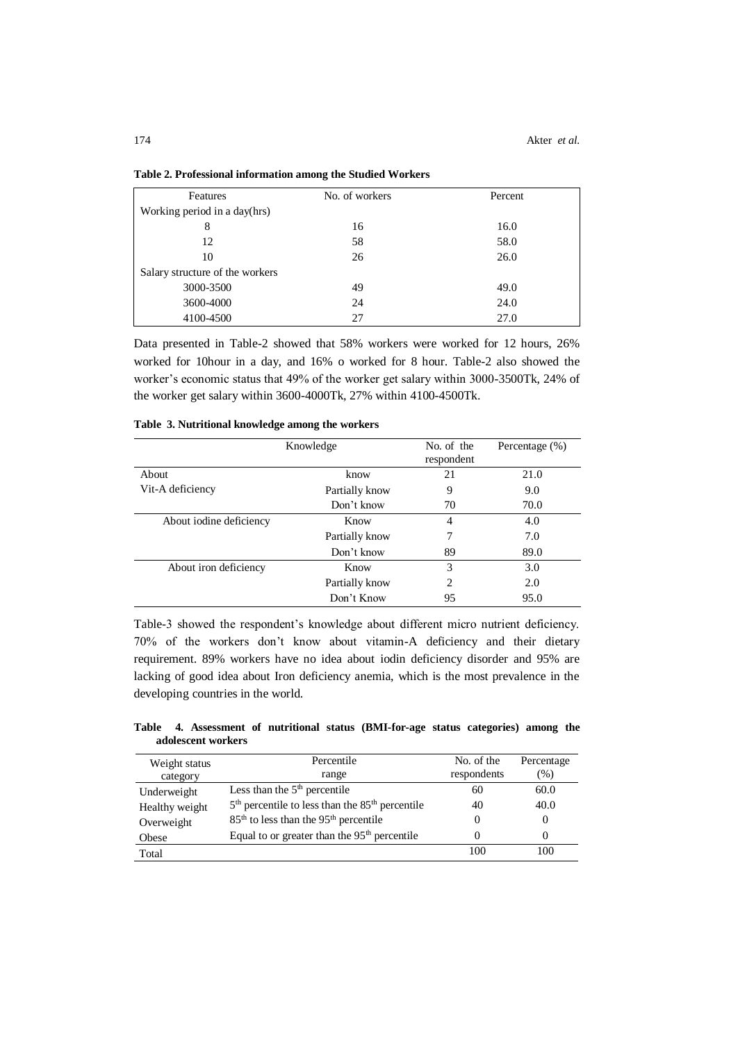| Features                        | No. of workers | Percent |  |
|---------------------------------|----------------|---------|--|
| Working period in a day(hrs)    |                |         |  |
| 8                               | 16             | 16.0    |  |
| 12                              | 58             | 58.0    |  |
| 10                              | 26             | 26.0    |  |
| Salary structure of the workers |                |         |  |
| 3000-3500                       | 49             | 49.0    |  |
| 3600-4000                       | 24             | 24.0    |  |
| 4100-4500                       | 27             | 27.0    |  |

**Table 2. Professional information among the Studied Workers**

Data presented in Table-2 showed that 58% workers were worked for 12 hours, 26% worked for 10hour in a day, and 16% o worked for 8 hour. Table-2 also showed the worker's economic status that 49% of the worker get salary within 3000-3500Tk, 24% of the worker get salary within 3600-4000Tk, 27% within 4100-4500Tk.

|  |  | Table 3. Nutritional knowledge among the workers |  |  |  |  |
|--|--|--------------------------------------------------|--|--|--|--|
|--|--|--------------------------------------------------|--|--|--|--|

|                         | Knowledge      | No. of the     | Percentage $(\%)$ |
|-------------------------|----------------|----------------|-------------------|
|                         |                | respondent     |                   |
| About                   | know           | 21             | 21.0              |
| Vit-A deficiency        | Partially know | 9              | 9.0               |
|                         | Don't know     | 70             | 70.0              |
| About iodine deficiency | Know           | $\overline{4}$ | 4.0               |
|                         | Partially know | 7              | 7.0               |
|                         | Don't know     | 89             | 89.0              |
| About iron deficiency   | Know           | $\mathcal{F}$  | 3.0               |
|                         | Partially know | 2              | 2.0               |
|                         | Don't Know     | 95             | 95.0              |

Table-3 showed the respondent's knowledge about different micro nutrient deficiency. 70% of the workers don't know about vitamin-A deficiency and their dietary requirement. 89% workers have no idea about iodin deficiency disorder and 95% are lacking of good idea about Iron deficiency anemia, which is the most prevalence in the developing countries in the world.

**Table 4. Assessment of nutritional status (BMI-for-age status categories) among the adolescent workers**

| Weight status<br>category | Percentile<br>range                                           | No. of the<br>respondents | Percentage<br>(96) |
|---------------------------|---------------------------------------------------------------|---------------------------|--------------------|
| Underweight               | Less than the $5th$ percentile                                | 60                        | 60.0               |
| Healthy weight            | $5th$ percentile to less than the $85th$ percentile           | 40                        | 40.0               |
| Overweight                | 85 <sup>th</sup> to less than the 95 <sup>th</sup> percentile |                           |                    |
| Obese                     | Equal to or greater than the $95th$ percentile                |                           |                    |
| Total                     |                                                               | 100                       | 100                |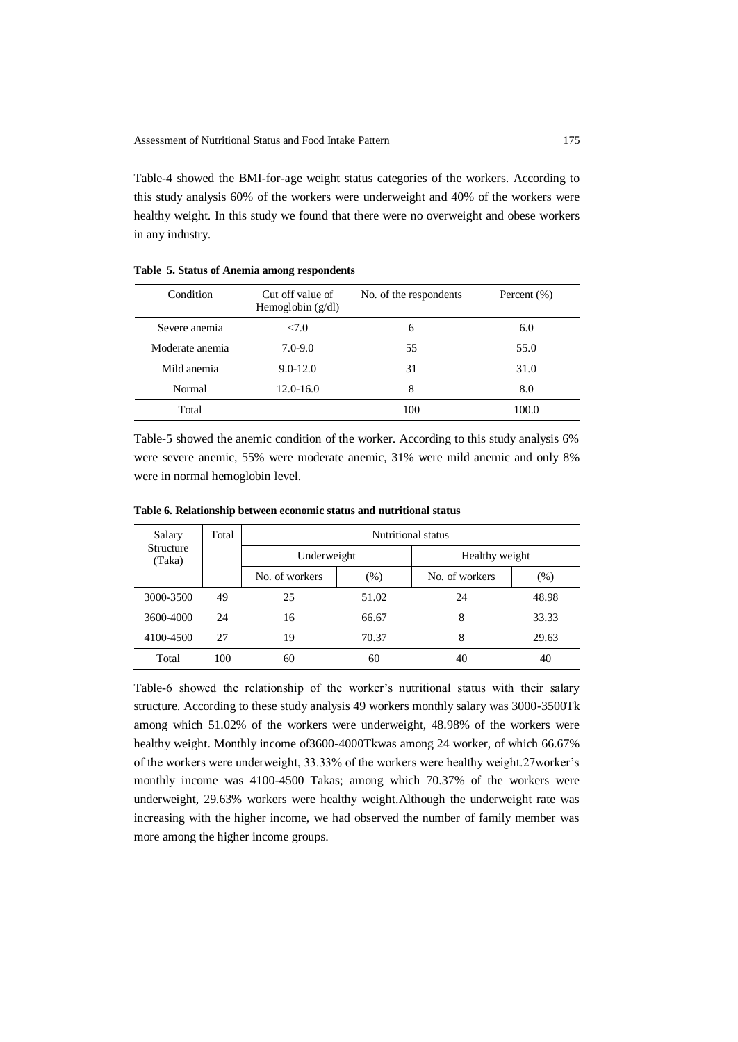Table-4 showed the BMI-for-age weight status categories of the workers. According to this study analysis 60% of the workers were underweight and 40% of the workers were healthy weight. In this study we found that there were no overweight and obese workers in any industry.

| Condition       | Cut off value of<br>Hemoglobin $(g/dl)$ | No. of the respondents | Percent $(\% )$ |
|-----------------|-----------------------------------------|------------------------|-----------------|
| Severe anemia   | 27.0                                    | 6                      | 6.0             |
| Moderate anemia | $7.0 - 9.0$                             | 55                     | 55.0            |
| Mild anemia     | $9.0 - 12.0$                            | 31                     | 31.0            |
| Normal          | 12.0-16.0                               | 8                      | 8.0             |
| Total           |                                         | 100                    | 100.0           |

**Table 5. Status of Anemia among respondents**

Table-5 showed the anemic condition of the worker. According to this study analysis 6% were severe anemic, 55% were moderate anemic, 31% were mild anemic and only 8% were in normal hemoglobin level.

| Salary                     | Total | Nutritional status |       |                |       |
|----------------------------|-------|--------------------|-------|----------------|-------|
| <b>Structure</b><br>(Taka) |       | Underweight        |       | Healthy weight |       |
|                            |       | No. of workers     | (% )  | No. of workers | (%)   |
| 3000-3500                  | 49    | 25                 | 51.02 | 24             | 48.98 |
| 3600-4000                  | 24    | 16                 | 66.67 | 8              | 33.33 |
| 4100-4500                  | 27    | 19                 | 70.37 | 8              | 29.63 |
| Total                      | 100   | 60                 | 60    | 40             | 40    |

**Table 6. Relationship between economic status and nutritional status** 

Table-6 showed the relationship of the worker's nutritional status with their salary structure. According to these study analysis 49 workers monthly salary was 3000-3500Tk among which 51.02% of the workers were underweight, 48.98% of the workers were healthy weight. Monthly income of3600-4000Tkwas among 24 worker, of which 66.67% of the workers were underweight, 33.33% of the workers were healthy weight.27worker's monthly income was 4100-4500 Takas; among which 70.37% of the workers were underweight, 29.63% workers were healthy weight.Although the underweight rate was increasing with the higher income, we had observed the number of family member was more among the higher income groups.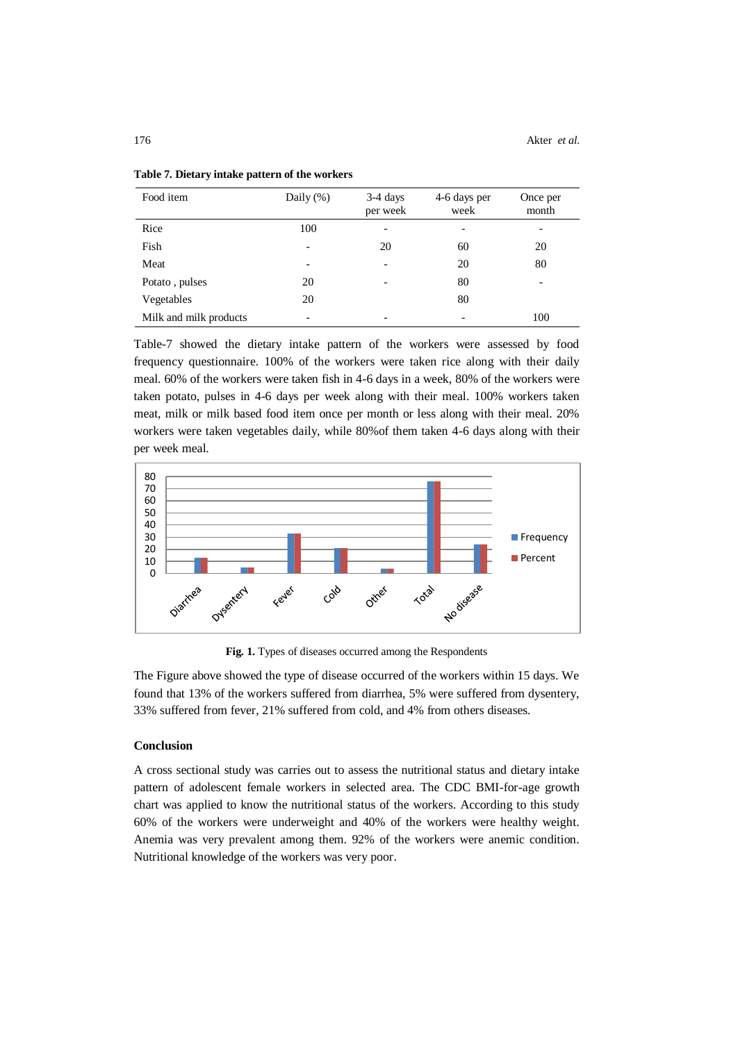| Food item              | Daily $(\%)$             | $3-4$ days<br>per week   | 4-6 days per<br>week | Once per<br>month        |
|------------------------|--------------------------|--------------------------|----------------------|--------------------------|
| Rice                   | 100                      |                          |                      | $\overline{\phantom{a}}$ |
| Fish                   | -                        | 20                       | 60                   | 20                       |
| Meat                   | $\overline{\phantom{0}}$ |                          | 20                   | 80                       |
| Potato, pulses         | 20                       |                          | 80                   | $\overline{\phantom{a}}$ |
| Vegetables             | 20                       |                          | 80                   |                          |
| Milk and milk products | $\overline{\phantom{a}}$ | $\overline{\phantom{0}}$ | $\qquad \qquad$      | 100                      |

**Table 7. Dietary intake pattern of the workers**

Table-7 showed the dietary intake pattern of the workers were assessed by food frequency questionnaire. 100% of the workers were taken rice along with their daily meal. 60% of the workers were taken fish in 4-6 days in a week, 80% of the workers were taken potato, pulses in 4-6 days per week along with their meal. 100% workers taken meat, milk or milk based food item once per month or less along with their meal. 20% workers were taken vegetables daily, while 80%of them taken 4-6 days along with their per week meal.



**Fig. 1.** Types of diseases occurred among the Respondents

The Figure above showed the type of disease occurred of the workers within 15 days. We found that 13% of the workers suffered from diarrhea, 5% were suffered from dysentery, 33% suffered from fever, 21% suffered from cold, and 4% from others diseases.

#### **Conclusion**

A cross sectional study was carries out to assess the nutritional status and dietary intake pattern of adolescent female workers in selected area. The CDC BMI-for-age growth chart was applied to know the nutritional status of the workers. According to this study 60% of the workers were underweight and 40% of the workers were healthy weight. Anemia was very prevalent among them. 92% of the workers were anemic condition. Nutritional knowledge of the workers was very poor.